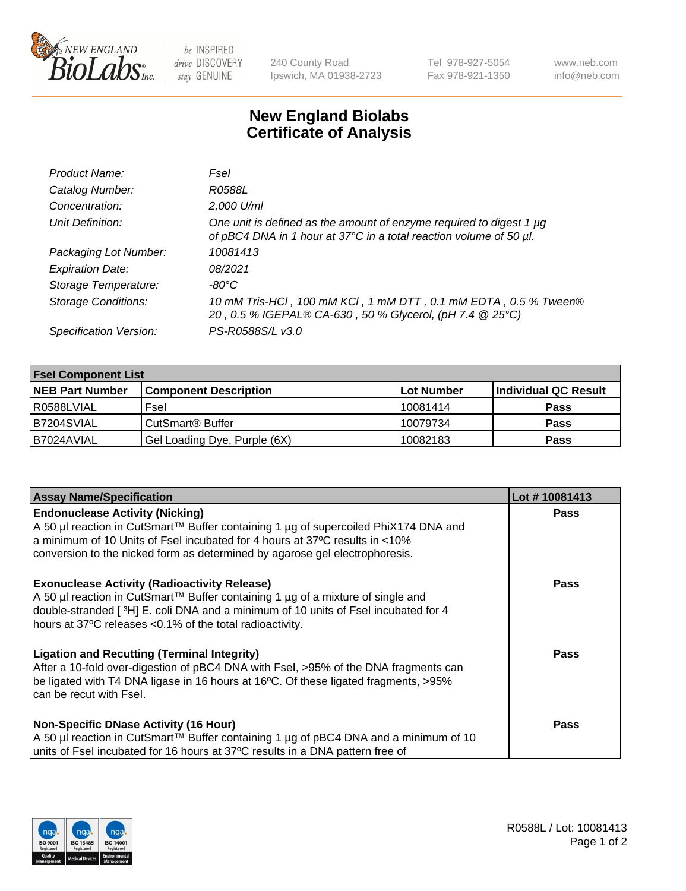

 $be$  INSPIRED drive DISCOVERY stay GENUINE

240 County Road Ipswich, MA 01938-2723 Tel 978-927-5054 Fax 978-921-1350 www.neb.com info@neb.com

## **New England Biolabs Certificate of Analysis**

| Product Name:              | Fsel                                                                                                                                      |
|----------------------------|-------------------------------------------------------------------------------------------------------------------------------------------|
| Catalog Number:            | R0588L                                                                                                                                    |
| Concentration:             | 2,000 U/ml                                                                                                                                |
| Unit Definition:           | One unit is defined as the amount of enzyme required to digest 1 µg<br>of pBC4 DNA in 1 hour at 37°C in a total reaction volume of 50 µl. |
| Packaging Lot Number:      | 10081413                                                                                                                                  |
| <b>Expiration Date:</b>    | 08/2021                                                                                                                                   |
| Storage Temperature:       | -80°C                                                                                                                                     |
| <b>Storage Conditions:</b> | 10 mM Tris-HCl, 100 mM KCl, 1 mM DTT, 0.1 mM EDTA, 0.5 % Tween®<br>20, 0.5 % IGEPAL® CA-630, 50 % Glycerol, (pH 7.4 @ 25°C)               |
| Specification Version:     | PS-R0588S/L v3.0                                                                                                                          |

| <b>Fsel Component List</b> |                              |            |                      |  |  |
|----------------------------|------------------------------|------------|----------------------|--|--|
| <b>NEB Part Number</b>     | <b>Component Description</b> | Lot Number | Individual QC Result |  |  |
| R0588LVIAL                 | Fsel                         | 10081414   | <b>Pass</b>          |  |  |
| B7204SVIAL                 | CutSmart <sup>®</sup> Buffer | 10079734   | <b>Pass</b>          |  |  |
| B7024AVIAL                 | Gel Loading Dye, Purple (6X) | 10082183   | <b>Pass</b>          |  |  |

| <b>Assay Name/Specification</b>                                                                                                                                                                                                                                                          | Lot #10081413 |
|------------------------------------------------------------------------------------------------------------------------------------------------------------------------------------------------------------------------------------------------------------------------------------------|---------------|
| <b>Endonuclease Activity (Nicking)</b><br>  A 50 µl reaction in CutSmart™ Buffer containing 1 µg of supercoiled PhiX174 DNA and                                                                                                                                                          | <b>Pass</b>   |
| a minimum of 10 Units of Fsel incubated for 4 hours at 37°C results in <10%<br>conversion to the nicked form as determined by agarose gel electrophoresis.                                                                                                                               |               |
| <b>Exonuclease Activity (Radioactivity Release)</b><br>A 50 µl reaction in CutSmart™ Buffer containing 1 µg of a mixture of single and<br>double-stranded [3H] E. coli DNA and a minimum of 10 units of Fsel incubated for 4<br>hours at 37°C releases <0.1% of the total radioactivity. | <b>Pass</b>   |
| <b>Ligation and Recutting (Terminal Integrity)</b><br>After a 10-fold over-digestion of pBC4 DNA with Fsel, >95% of the DNA fragments can<br>be ligated with T4 DNA ligase in 16 hours at 16°C. Of these ligated fragments, >95%<br>can be recut with Fsel.                              | Pass          |
| <b>Non-Specific DNase Activity (16 Hour)</b><br>  A 50 µl reaction in CutSmart™ Buffer containing 1 µg of pBC4 DNA and a minimum of 10<br>units of Fsel incubated for 16 hours at 37°C results in a DNA pattern free of                                                                  | <b>Pass</b>   |